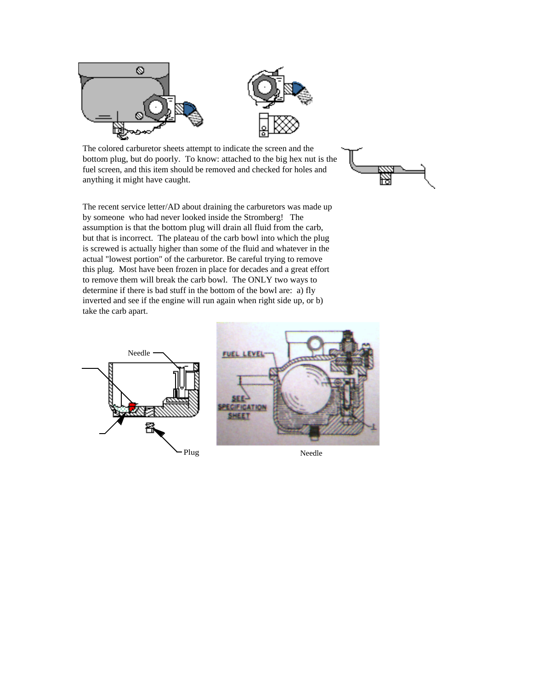



The colored carburetor sheets attempt to indicate the screen and the bottom plug, but do poorly. To know: attached to the big hex nut is the fuel screen, and this item should be removed and checked for holes and anything it might have caught.



The recent service letter/AD about draining the carburetors was made up by someone who had never looked inside the Stromberg! The assumption is that the bottom plug will drain all fluid from the carb, but that is incorrect. The plateau of the carb bowl into which the plug is screwed is actually higher than some of the fluid and whatever in the actual "lowest portion" of the carburetor. Be careful trying to remove this plug. Most have been frozen in place for decades and a great effort to remove them will break the carb bowl. The ONLY two ways to determine if there is bad stuff in the bottom of the bowl are: a) fly inverted and see if the engine will run again when right side up, or b) take the carb apart.



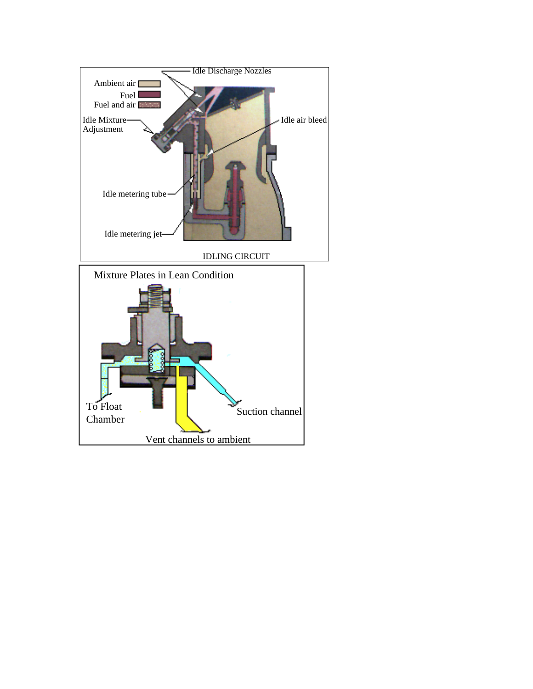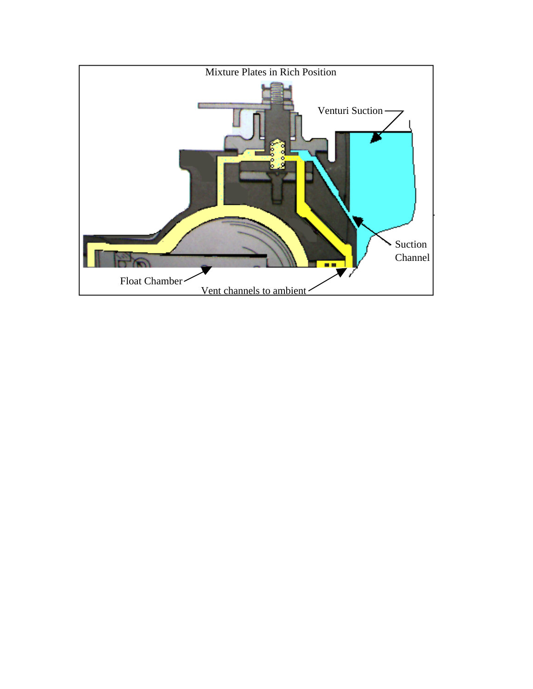